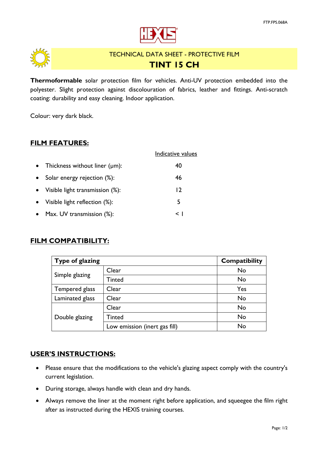

<span id="page-0-0"></span>

# TECHNICAL DATA SHEET - PROTECTIVE FILM **TINT 15 CH**

**Thermoformable** solar protection film for vehicles. Anti-UV protection embedded into the polyester. Slight protection against discolouration of fabrics, leather and fittings. Anti-scratch coating: durability and easy cleaning. Indoor application.

Colour: very dark black.

## **FILM FEATURES:**

|           |                                     | Indicative values |
|-----------|-------------------------------------|-------------------|
|           | Thickness without liner $(\mu m)$ : | 40                |
|           | Solar energy rejection (%):         | 46                |
| $\bullet$ | Visible light transmission (%):     | 12                |
| $\bullet$ | Visible light reflection (%):       | 5                 |
|           | Max. UV transmission (%):           | $\leq$ 1          |

### **FILM COMPATIBILITY:**

| Type of glazing | <b>Compatibility</b>          |     |
|-----------------|-------------------------------|-----|
|                 | Clear                         | No  |
| Simple glazing  | Tinted                        | No  |
| Tempered glass  | Clear                         | Yes |
| Laminated glass | Clear                         | No  |
|                 | Clear                         | No  |
| Double glazing  | Tinted                        | No  |
|                 | Low emission (inert gas fill) | No  |

#### **USER'S INSTRUCTIONS:**

- Please ensure that the modifications to the vehicle's glazing aspect comply with the country's current legislation.
- During storage, always handle with clean and dry hands.
- Always remove the liner at the moment right before application, and squeegee the film right after as instructed during the HEXIS training courses.